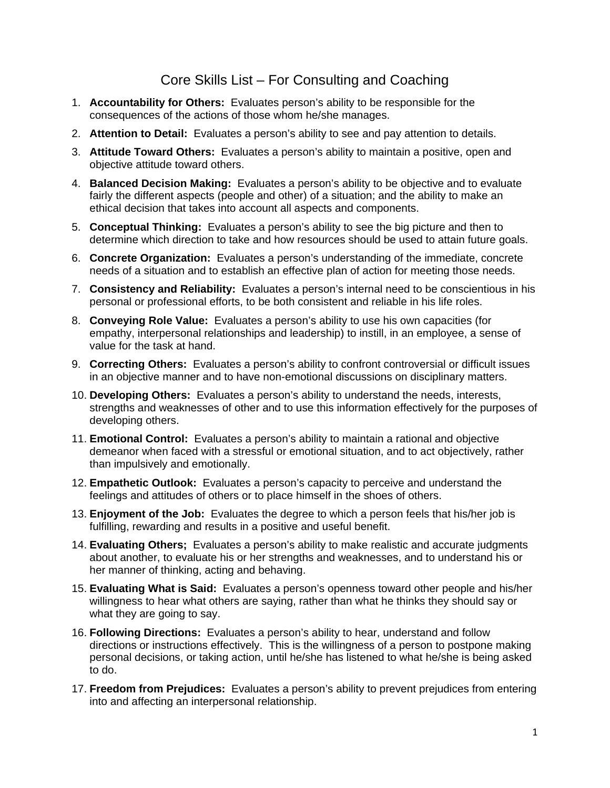## Core Skills List – For Consulting and Coaching

- 1. **Accountability for Others:** Evaluates person's ability to be responsible for the consequences of the actions of those whom he/she manages.
- 2. **Attention to Detail:** Evaluates a person's ability to see and pay attention to details.
- 3. **Attitude Toward Others:** Evaluates a person's ability to maintain a positive, open and objective attitude toward others.
- 4. **Balanced Decision Making:** Evaluates a person's ability to be objective and to evaluate fairly the different aspects (people and other) of a situation; and the ability to make an ethical decision that takes into account all aspects and components.
- 5. **Conceptual Thinking:** Evaluates a person's ability to see the big picture and then to determine which direction to take and how resources should be used to attain future goals.
- 6. **Concrete Organization:** Evaluates a person's understanding of the immediate, concrete needs of a situation and to establish an effective plan of action for meeting those needs.
- 7. **Consistency and Reliability:** Evaluates a person's internal need to be conscientious in his personal or professional efforts, to be both consistent and reliable in his life roles.
- 8. **Conveying Role Value:** Evaluates a person's ability to use his own capacities (for empathy, interpersonal relationships and leadership) to instill, in an employee, a sense of value for the task at hand.
- 9. **Correcting Others:** Evaluates a person's ability to confront controversial or difficult issues in an objective manner and to have non-emotional discussions on disciplinary matters.
- 10. **Developing Others:** Evaluates a person's ability to understand the needs, interests, strengths and weaknesses of other and to use this information effectively for the purposes of developing others.
- 11. **Emotional Control:** Evaluates a person's ability to maintain a rational and objective demeanor when faced with a stressful or emotional situation, and to act objectively, rather than impulsively and emotionally.
- 12. **Empathetic Outlook:** Evaluates a person's capacity to perceive and understand the feelings and attitudes of others or to place himself in the shoes of others.
- 13. **Enjoyment of the Job:** Evaluates the degree to which a person feels that his/her job is fulfilling, rewarding and results in a positive and useful benefit.
- 14. **Evaluating Others;** Evaluates a person's ability to make realistic and accurate judgments about another, to evaluate his or her strengths and weaknesses, and to understand his or her manner of thinking, acting and behaving.
- 15. **Evaluating What is Said:** Evaluates a person's openness toward other people and his/her willingness to hear what others are saying, rather than what he thinks they should say or what they are going to say.
- 16. **Following Directions:** Evaluates a person's ability to hear, understand and follow directions or instructions effectively. This is the willingness of a person to postpone making personal decisions, or taking action, until he/she has listened to what he/she is being asked to do.
- 17. **Freedom from Prejudices:** Evaluates a person's ability to prevent prejudices from entering into and affecting an interpersonal relationship.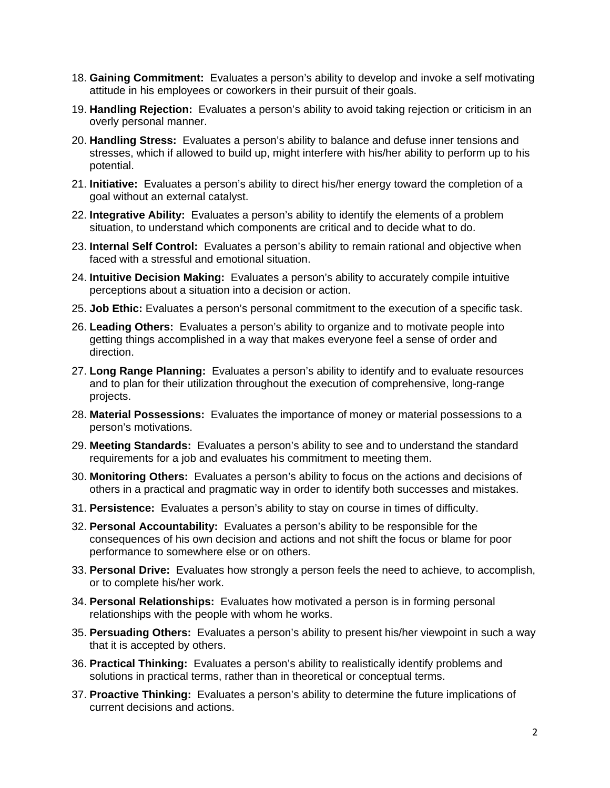- 18. **Gaining Commitment:** Evaluates a person's ability to develop and invoke a self motivating attitude in his employees or coworkers in their pursuit of their goals.
- 19. **Handling Rejection:** Evaluates a person's ability to avoid taking rejection or criticism in an overly personal manner.
- 20. **Handling Stress:** Evaluates a person's ability to balance and defuse inner tensions and stresses, which if allowed to build up, might interfere with his/her ability to perform up to his potential.
- 21. **Initiative:** Evaluates a person's ability to direct his/her energy toward the completion of a goal without an external catalyst.
- 22. **Integrative Ability:** Evaluates a person's ability to identify the elements of a problem situation, to understand which components are critical and to decide what to do.
- 23. **Internal Self Control:** Evaluates a person's ability to remain rational and objective when faced with a stressful and emotional situation.
- 24. **Intuitive Decision Making:** Evaluates a person's ability to accurately compile intuitive perceptions about a situation into a decision or action.
- 25. **Job Ethic:** Evaluates a person's personal commitment to the execution of a specific task.
- 26. **Leading Others:** Evaluates a person's ability to organize and to motivate people into getting things accomplished in a way that makes everyone feel a sense of order and direction.
- 27. **Long Range Planning:** Evaluates a person's ability to identify and to evaluate resources and to plan for their utilization throughout the execution of comprehensive, long-range projects.
- 28. **Material Possessions:** Evaluates the importance of money or material possessions to a person's motivations.
- 29. **Meeting Standards:** Evaluates a person's ability to see and to understand the standard requirements for a job and evaluates his commitment to meeting them.
- 30. **Monitoring Others:** Evaluates a person's ability to focus on the actions and decisions of others in a practical and pragmatic way in order to identify both successes and mistakes.
- 31. **Persistence:** Evaluates a person's ability to stay on course in times of difficulty.
- 32. **Personal Accountability:** Evaluates a person's ability to be responsible for the consequences of his own decision and actions and not shift the focus or blame for poor performance to somewhere else or on others.
- 33. **Personal Drive:** Evaluates how strongly a person feels the need to achieve, to accomplish, or to complete his/her work.
- 34. **Personal Relationships:** Evaluates how motivated a person is in forming personal relationships with the people with whom he works.
- 35. **Persuading Others:** Evaluates a person's ability to present his/her viewpoint in such a way that it is accepted by others.
- 36. **Practical Thinking:** Evaluates a person's ability to realistically identify problems and solutions in practical terms, rather than in theoretical or conceptual terms.
- 37. **Proactive Thinking:** Evaluates a person's ability to determine the future implications of current decisions and actions.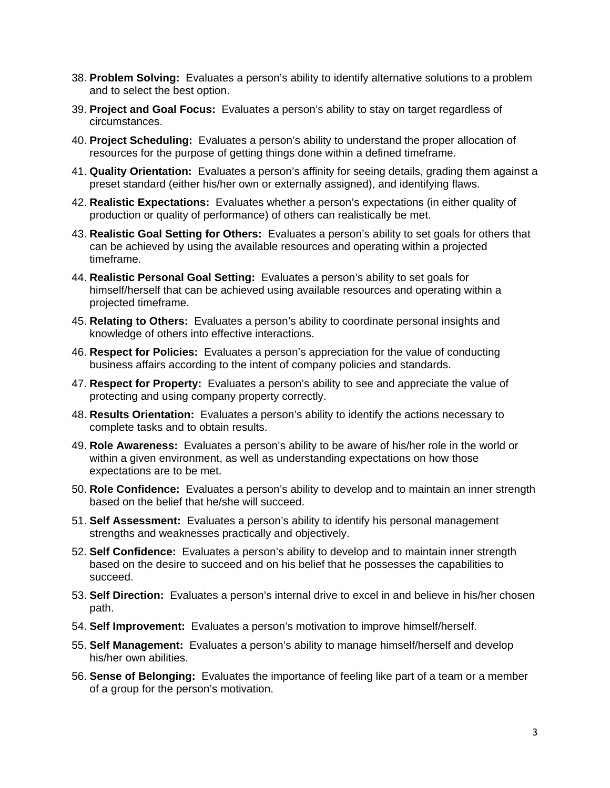- 38. **Problem Solving:** Evaluates a person's ability to identify alternative solutions to a problem and to select the best option.
- 39. **Project and Goal Focus:** Evaluates a person's ability to stay on target regardless of circumstances.
- 40. **Project Scheduling:** Evaluates a person's ability to understand the proper allocation of resources for the purpose of getting things done within a defined timeframe.
- 41. **Quality Orientation:** Evaluates a person's affinity for seeing details, grading them against a preset standard (either his/her own or externally assigned), and identifying flaws.
- 42. **Realistic Expectations:** Evaluates whether a person's expectations (in either quality of production or quality of performance) of others can realistically be met.
- 43. **Realistic Goal Setting for Others:** Evaluates a person's ability to set goals for others that can be achieved by using the available resources and operating within a projected timeframe.
- 44. **Realistic Personal Goal Setting:** Evaluates a person's ability to set goals for himself/herself that can be achieved using available resources and operating within a projected timeframe.
- 45. **Relating to Others:** Evaluates a person's ability to coordinate personal insights and knowledge of others into effective interactions.
- 46. **Respect for Policies:** Evaluates a person's appreciation for the value of conducting business affairs according to the intent of company policies and standards.
- 47. **Respect for Property:** Evaluates a person's ability to see and appreciate the value of protecting and using company property correctly.
- 48. **Results Orientation:** Evaluates a person's ability to identify the actions necessary to complete tasks and to obtain results.
- 49. **Role Awareness:** Evaluates a person's ability to be aware of his/her role in the world or within a given environment, as well as understanding expectations on how those expectations are to be met.
- 50. **Role Confidence:** Evaluates a person's ability to develop and to maintain an inner strength based on the belief that he/she will succeed.
- 51. **Self Assessment:** Evaluates a person's ability to identify his personal management strengths and weaknesses practically and objectively.
- 52. **Self Confidence:** Evaluates a person's ability to develop and to maintain inner strength based on the desire to succeed and on his belief that he possesses the capabilities to succeed.
- 53. **Self Direction:** Evaluates a person's internal drive to excel in and believe in his/her chosen path.
- 54. **Self Improvement:** Evaluates a person's motivation to improve himself/herself.
- 55. **Self Management:** Evaluates a person's ability to manage himself/herself and develop his/her own abilities.
- 56. **Sense of Belonging:** Evaluates the importance of feeling like part of a team or a member of a group for the person's motivation.